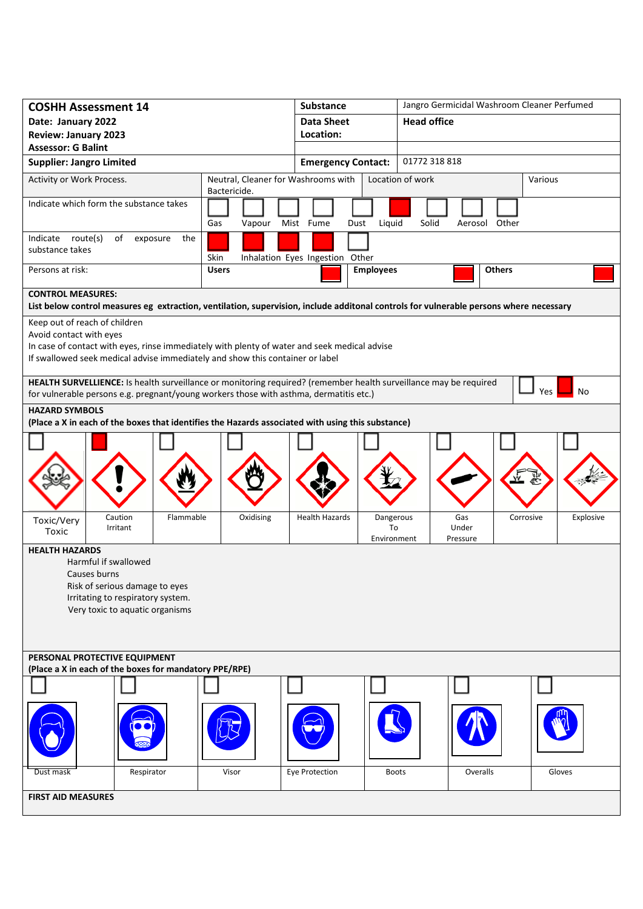| <b>COSHH Assessment 14</b>                                                                                                             |                                                     | <b>Substance</b>                                    |                    | Jangro Germicidal Washroom Cleaner Perfumed |                  |           |  |
|----------------------------------------------------------------------------------------------------------------------------------------|-----------------------------------------------------|-----------------------------------------------------|--------------------|---------------------------------------------|------------------|-----------|--|
| Date: January 2022                                                                                                                     | <b>Data Sheet</b>                                   |                                                     | <b>Head office</b> |                                             |                  |           |  |
| <b>Review: January 2023</b>                                                                                                            |                                                     | Location:                                           |                    |                                             |                  |           |  |
| <b>Assessor: G Balint</b>                                                                                                              |                                                     | <b>Emergency Contact:</b>                           |                    | 01772 318 818                               |                  |           |  |
| <b>Supplier: Jangro Limited</b>                                                                                                        |                                                     |                                                     |                    |                                             |                  |           |  |
| Activity or Work Process.                                                                                                              | Neutral, Cleaner for Washrooms with<br>Bactericide. |                                                     |                    | Location of work                            | Various          |           |  |
| Indicate which form the substance takes                                                                                                |                                                     |                                                     |                    |                                             |                  |           |  |
|                                                                                                                                        | Gas<br>Vapour                                       | Mist Fume                                           | Liquid<br>Dust     | Solid                                       | Other<br>Aerosol |           |  |
| Indicate route(s)<br>of<br>exposure<br>the                                                                                             |                                                     |                                                     |                    |                                             |                  |           |  |
| substance takes                                                                                                                        | Skin                                                |                                                     |                    |                                             |                  |           |  |
| Persons at risk:                                                                                                                       | <b>Users</b>                                        | Inhalation Eyes Ingestion Other<br><b>Employees</b> |                    | <b>Others</b>                               |                  |           |  |
|                                                                                                                                        |                                                     |                                                     |                    |                                             |                  |           |  |
| <b>CONTROL MEASURES:</b>                                                                                                               |                                                     |                                                     |                    |                                             |                  |           |  |
| List below control measures eg extraction, ventilation, supervision, include additonal controls for vulnerable persons where necessary |                                                     |                                                     |                    |                                             |                  |           |  |
| Keep out of reach of children<br>Avoid contact with eyes                                                                               |                                                     |                                                     |                    |                                             |                  |           |  |
| In case of contact with eyes, rinse immediately with plenty of water and seek medical advise                                           |                                                     |                                                     |                    |                                             |                  |           |  |
| If swallowed seek medical advise immediately and show this container or label                                                          |                                                     |                                                     |                    |                                             |                  |           |  |
| HEALTH SURVELLIENCE: Is health surveillance or monitoring required? (remember health surveillance may be required                      |                                                     |                                                     |                    |                                             |                  |           |  |
| for vulnerable persons e.g. pregnant/young workers those with asthma, dermatitis etc.)                                                 |                                                     |                                                     |                    |                                             |                  | No<br>Yes |  |
| <b>HAZARD SYMBOLS</b>                                                                                                                  |                                                     |                                                     |                    |                                             |                  |           |  |
| (Place a X in each of the boxes that identifies the Hazards associated with using this substance)                                      |                                                     |                                                     |                    |                                             |                  |           |  |
|                                                                                                                                        |                                                     |                                                     |                    |                                             |                  |           |  |
|                                                                                                                                        |                                                     |                                                     |                    |                                             |                  |           |  |
|                                                                                                                                        |                                                     |                                                     |                    |                                             |                  |           |  |
|                                                                                                                                        |                                                     |                                                     |                    |                                             |                  |           |  |
|                                                                                                                                        |                                                     |                                                     |                    |                                             |                  |           |  |
| Flammable<br>Caution<br>Toxic/Very                                                                                                     | Oxidising                                           | <b>Health Hazards</b>                               | Dangerous          | Gas                                         | Corrosive        | Explosive |  |
| Irritant<br>Toxic                                                                                                                      |                                                     |                                                     | To<br>Environment  | Under<br>Pressure                           |                  |           |  |
| <b>HEALTH HAZARDS</b>                                                                                                                  |                                                     |                                                     |                    |                                             |                  |           |  |
| Harmful if swallowed                                                                                                                   |                                                     |                                                     |                    |                                             |                  |           |  |
| Causes burns                                                                                                                           |                                                     |                                                     |                    |                                             |                  |           |  |
| Risk of serious damage to eyes<br>Irritating to respiratory system.                                                                    |                                                     |                                                     |                    |                                             |                  |           |  |
| Very toxic to aquatic organisms                                                                                                        |                                                     |                                                     |                    |                                             |                  |           |  |
|                                                                                                                                        |                                                     |                                                     |                    |                                             |                  |           |  |
|                                                                                                                                        |                                                     |                                                     |                    |                                             |                  |           |  |
| PERSONAL PROTECTIVE EQUIPMENT                                                                                                          |                                                     |                                                     |                    |                                             |                  |           |  |
| (Place a X in each of the boxes for mandatory PPE/RPE)                                                                                 |                                                     |                                                     |                    |                                             |                  |           |  |
|                                                                                                                                        |                                                     |                                                     |                    |                                             |                  |           |  |
|                                                                                                                                        |                                                     |                                                     |                    |                                             |                  |           |  |
|                                                                                                                                        |                                                     |                                                     |                    |                                             |                  |           |  |
|                                                                                                                                        |                                                     |                                                     |                    |                                             |                  |           |  |
|                                                                                                                                        |                                                     |                                                     |                    |                                             |                  |           |  |
| Respirator<br>Dust mask                                                                                                                | Visor                                               | Eye Protection                                      | <b>Boots</b>       |                                             | Overalls         | Gloves    |  |
| <b>FIRST AID MEASURES</b>                                                                                                              |                                                     |                                                     |                    |                                             |                  |           |  |
|                                                                                                                                        |                                                     |                                                     |                    |                                             |                  |           |  |